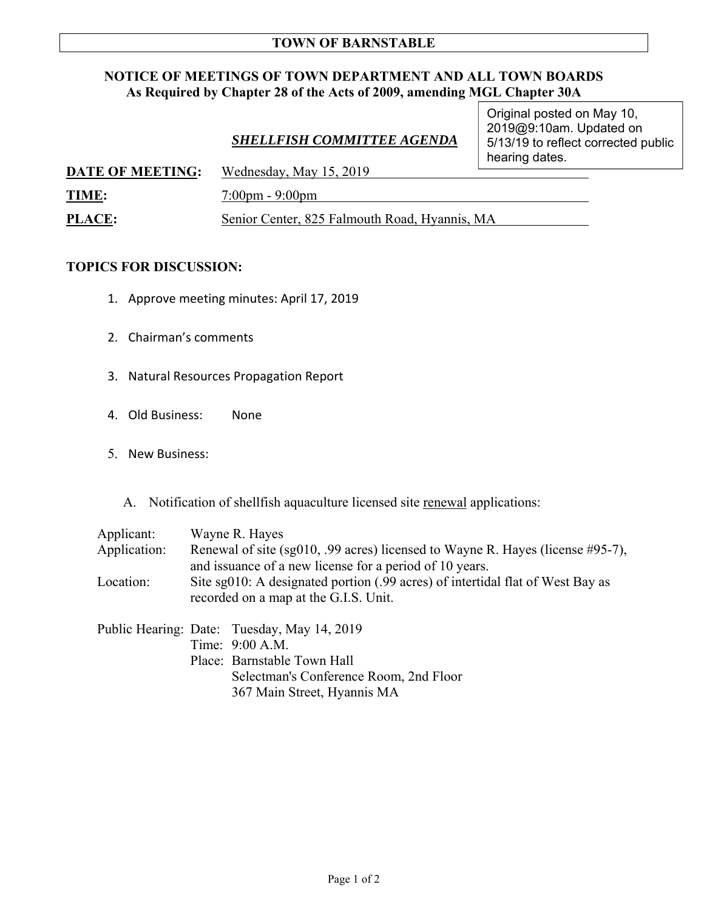## **TOWN OF BARNSTABLE**

## **NOTICE OF MEETINGS OF TOWN DEPARTMENT AND ALL TOWN BOARDS As Required by Chapter 28 of the Acts of 2009, amending MGL Chapter 30A**

|                         | <b>SHELLFISH COMMITTEE AGENDA</b> | Original posted on May 10,<br>2019@9:10am. Updated on<br>5/13/19 to reflect corrected public<br>hearing dates. |  |
|-------------------------|-----------------------------------|----------------------------------------------------------------------------------------------------------------|--|
| <b>DATE OF MEETING:</b> | Wednesday, May 15, 2019           |                                                                                                                |  |
| TIME:                   | $7:00 \text{pm} - 9:00 \text{pm}$ |                                                                                                                |  |

**PLACE:** Senior Center, 825 Falmouth Road, Hyannis, MA

## **TOPICS FOR DISCUSSION:**

- 1. Approve meeting minutes: April 17, 2019
- 2. Chairman's comments
- 3. Natural Resources Propagation Report
- 4. Old Business: None
- 5. New Business:

A. Notification of shellfish aquaculture licensed site renewal applications:

| Applicant:   | Wayne R. Hayes                                                                 |  |  |
|--------------|--------------------------------------------------------------------------------|--|--|
| Application: | Renewal of site (sg010, .99 acres) licensed to Wayne R. Hayes (license #95-7), |  |  |
|              | and issuance of a new license for a period of 10 years.                        |  |  |
| Location:    | Site sg010: A designated portion (.99 acres) of intertidal flat of West Bay as |  |  |
|              | recorded on a map at the G.I.S. Unit.                                          |  |  |
|              |                                                                                |  |  |
|              | Public Hearing: Date: Tuesday, May 14, 2019                                    |  |  |
|              | Time: 9:00 A.M.                                                                |  |  |
|              | Place: Barnstable Town Hall                                                    |  |  |

 Selectman's Conference Room, 2nd Floor 367 Main Street, Hyannis MA